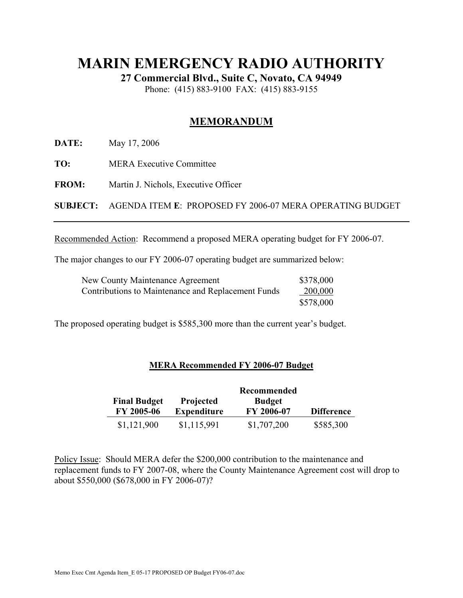### **MARIN EMERGENCY RADIO AUTHORITY**

**27 Commercial Blvd., Suite C, Novato, CA 94949** 

Phone: (415) 883-9100 FAX: (415) 883-9155

#### **MEMORANDUM**

**DATE:** May 17, 2006

**TO:** MERA Executive Committee

**FROM:** Martin J. Nichols, Executive Officer

**SUBJECT:** AGENDA ITEM **E**: PROPOSED FY 2006-07 MERA OPERATING BUDGET

Recommended Action: Recommend a proposed MERA operating budget for FY 2006-07.

The major changes to our FY 2006-07 operating budget are summarized below:

| <b>New County Maintenance Agreement</b>            | \$378,000 |
|----------------------------------------------------|-----------|
| Contributions to Maintenance and Replacement Funds | 200,000   |
|                                                    | \$578,000 |

The proposed operating budget is \$585,300 more than the current year's budget.

#### **MERA Recommended FY 2006-07 Budget**

| <b>Final Budget</b> | <b>Projected</b>   | <b>Budget</b>     |                   |
|---------------------|--------------------|-------------------|-------------------|
| FY 2005-06          | <b>Expenditure</b> | <b>FY 2006-07</b> | <b>Difference</b> |
| \$1,121,900         | \$1,115,991        | \$1,707,200       | \$585,300         |

Policy Issue: Should MERA defer the \$200,000 contribution to the maintenance and replacement funds to FY 2007-08, where the County Maintenance Agreement cost will drop to about \$550,000 (\$678,000 in FY 2006-07)?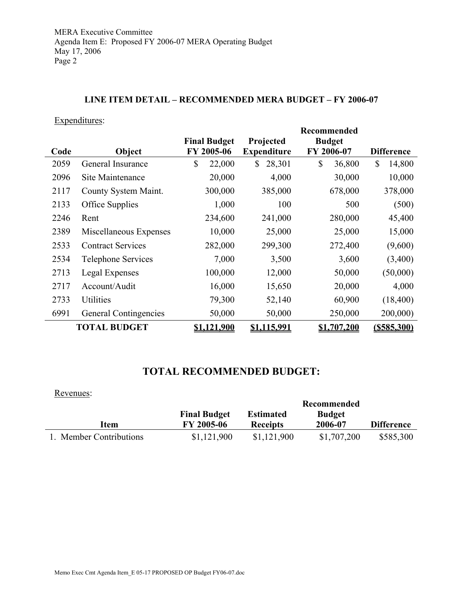#### **LINE ITEM DETAIL – RECOMMENDED MERA BUDGET – FY 2006-07**

Expenditures:

|      |                           |                     |         | <b>Recommended</b>     |    |               |                   |                    |
|------|---------------------------|---------------------|---------|------------------------|----|---------------|-------------------|--------------------|
|      |                           | <b>Final Budget</b> |         | Projected              |    | <b>Budget</b> |                   |                    |
| Code | Object                    | FY 2005-06          |         | <b>Expenditure</b>     |    | FY 2006-07    | <b>Difference</b> |                    |
| 2059 | General Insurance         | \$                  | 22,000  | 28,301<br>$\mathbb{S}$ | \$ | 36,800        | \$                | 14,800             |
| 2096 | Site Maintenance          |                     | 20,000  | 4,000                  |    | 30,000        |                   | 10,000             |
| 2117 | County System Maint.      |                     | 300,000 | 385,000                |    | 678,000       |                   | 378,000            |
| 2133 | Office Supplies           |                     | 1,000   | 100                    |    | 500           |                   | (500)              |
| 2246 | Rent                      |                     | 234,600 | 241,000                |    | 280,000       |                   | 45,400             |
| 2389 | Miscellaneous Expenses    |                     | 10,000  | 25,000                 |    | 25,000        |                   | 15,000             |
| 2533 | <b>Contract Services</b>  |                     | 282,000 | 299,300                |    | 272,400       |                   | (9,600)            |
| 2534 | <b>Telephone Services</b> |                     | 7,000   | 3,500                  |    | 3,600         |                   | (3,400)            |
| 2713 | Legal Expenses            |                     | 100,000 | 12,000                 |    | 50,000        |                   | (50,000)           |
| 2717 | Account/Audit             |                     | 16,000  | 15,650                 |    | 20,000        |                   | 4,000              |
| 2733 | Utilities                 |                     | 79,300  | 52,140                 |    | 60,900        |                   | (18, 400)          |
| 6991 | General Contingencies     |                     | 50,000  | 50,000                 |    | 250,000       |                   | 200,000)           |
|      | <b>TOTAL BUDGET</b>       | <u>\$1,121,900</u>  |         | <u>\$1,115,991</u>     |    | \$1,707,200   |                   | <u>(\$585,300)</u> |

### **TOTAL RECOMMENDED BUDGET:**

| Revenues:               |                     |                  |               |                   |
|-------------------------|---------------------|------------------|---------------|-------------------|
|                         |                     |                  | Recommended   |                   |
|                         | <b>Final Budget</b> | <b>Estimated</b> | <b>Budget</b> |                   |
| Item                    | FY 2005-06          | <b>Receipts</b>  | 2006-07       | <b>Difference</b> |
| 1. Member Contributions | \$1,121,900         | \$1,121,900      | \$1,707,200   | \$585,300         |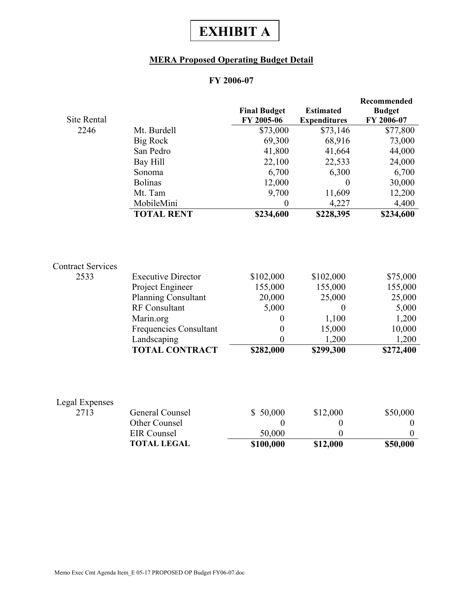## **EXHIBIT A**

#### **MERA Proposed Operating Budget Detail**

#### **FY 2006-07**

| <b>Site Rental</b>       |                               | <b>Final Budget</b><br>FY 2005-06 | <b>Estimated</b><br><b>Expenditures</b> | Recommended<br><b>Budget</b><br>FY 2006-07 |
|--------------------------|-------------------------------|-----------------------------------|-----------------------------------------|--------------------------------------------|
| 2246                     | Mt. Burdell                   | \$73,000                          | \$73,146                                | \$77,800                                   |
|                          | <b>Big Rock</b>               | 69,300                            | 68,916                                  | 73,000                                     |
|                          | San Pedro                     | 41,800                            | 41,664                                  | 44,000                                     |
|                          | Bay Hill                      | 22,100                            | 22,533                                  | 24,000                                     |
|                          | Sonoma                        | 6,700                             | 6,300                                   | 6,700                                      |
|                          | <b>Bolinas</b>                | 12,000                            | $\theta$                                | 30,000                                     |
|                          | Mt. Tam                       | 9,700                             | 11,609                                  | 12,200                                     |
|                          | MobileMini                    | $\boldsymbol{0}$                  | 4,227                                   | 4,400                                      |
|                          | <b>TOTAL RENT</b>             | \$234,600                         | \$228,395                               | \$234,600                                  |
| <b>Contract Services</b> |                               |                                   |                                         |                                            |
| 2533                     | <b>Executive Director</b>     | \$102,000                         | \$102,000                               | \$75,000                                   |
|                          | Project Engineer              | 155,000                           | 155,000                                 | 155,000                                    |
|                          | <b>Planning Consultant</b>    | 20,000                            | 25,000                                  | 25,000                                     |
|                          | RF Consultant                 | 5,000                             | $\theta$                                | 5,000                                      |
|                          | Marin.org                     | $\boldsymbol{0}$                  | 1,100                                   | 1,200                                      |
|                          | <b>Frequencies Consultant</b> | $\boldsymbol{0}$                  | 15,000                                  | 10,000                                     |
|                          | Landscaping                   | $\overline{0}$                    | 1,200                                   | 1,200                                      |
|                          | <b>TOTAL CONTRACT</b>         | \$282,000                         | \$299,300                               | \$272,400                                  |
|                          |                               |                                   |                                         |                                            |
| Legal Expenses<br>2713   | General Counsel               | \$50,000                          | \$12,000                                | \$50,000                                   |
|                          | Other Counsel                 | $\boldsymbol{0}$                  | $\boldsymbol{0}$                        | $\boldsymbol{0}$                           |
|                          | <b>EIR</b> Counsel            | 50,000                            | $\overline{0}$                          | $\Omega$                                   |
|                          | <b>TOTAL LEGAL</b>            | \$100,000                         | \$12,000                                | \$50,000                                   |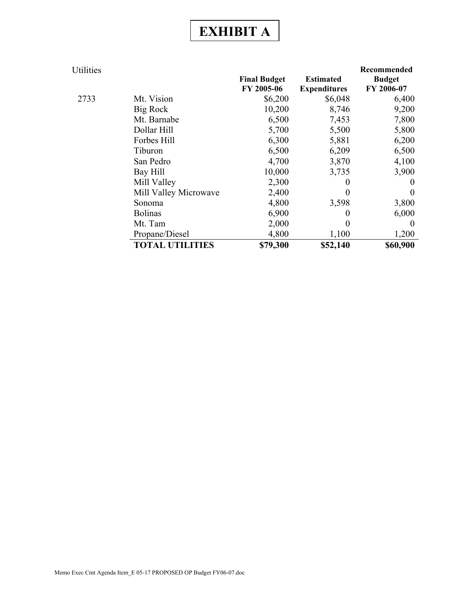# **EXHIBIT A**

| Utilities |                        |                     |                     | Recommended   |
|-----------|------------------------|---------------------|---------------------|---------------|
|           |                        | <b>Final Budget</b> | <b>Estimated</b>    | <b>Budget</b> |
|           |                        | FY 2005-06          | <b>Expenditures</b> | FY 2006-07    |
| 2733      | Mt. Vision             | \$6,200             | \$6,048             | 6,400         |
|           | Big Rock               | 10,200              | 8,746               | 9,200         |
|           | Mt. Barnabe            | 6,500               | 7,453               | 7,800         |
|           | Dollar Hill            | 5,700               | 5,500               | 5,800         |
|           | Forbes Hill            | 6,300               | 5,881               | 6,200         |
|           | Tiburon                | 6,500               | 6,209               | 6,500         |
|           | San Pedro              | 4,700               | 3,870               | 4,100         |
|           | Bay Hill               | 10,000              | 3,735               | 3,900         |
|           | Mill Valley            | 2,300               | 0                   | $\theta$      |
|           | Mill Valley Microwave  | 2,400               | 0                   | $\theta$      |
|           | Sonoma                 | 4,800               | 3,598               | 3,800         |
|           | <b>Bolinas</b>         | 6,900               | 0                   | 6,000         |
|           | Mt. Tam                | 2,000               | 0                   | $\theta$      |
|           | Propane/Diesel         | 4,800               | 1,100               | 1,200         |
|           | <b>TOTAL UTILITIES</b> | \$79,300            | \$52,140            | \$60,900      |